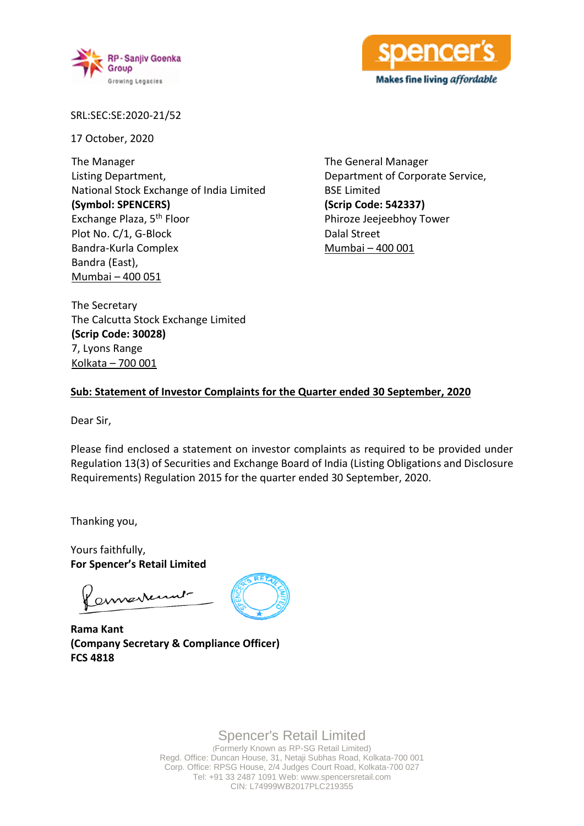



SRL:SEC:SE:2020-21/52

17 October, 2020

The Manager Listing Department, National Stock Exchange of India Limited **(Symbol: SPENCERS)** Exchange Plaza, 5th Floor Plot No. C/1, G-Block Bandra-Kurla Complex Bandra (East), Mumbai – 400 051

The General Manager Department of Corporate Service, BSE Limited **(Scrip Code: 542337)** Phiroze Jeejeebhoy Tower Dalal Street Mumbai – 400 001

The Secretary The Calcutta Stock Exchange Limited **(Scrip Code: 30028)** 7, Lyons Range Kolkata – 700 001

#### **Sub: Statement of Investor Complaints for the Quarter ended 30 September, 2020**

Dear Sir,

Please find enclosed a statement on investor complaints as required to be provided under Regulation 13(3) of Securities and Exchange Board of India (Listing Obligations and Disclosure Requirements) Regulation 2015 for the quarter ended 30 September, 2020.

Thanking you,

Yours faithfully, **For Spencer's Retail Limited**

americant

**Rama Kant (Company Secretary & Compliance Officer) FCS 4818**

Spencer's Retail Limited

(Formerly Known as RP-SG Retail Limited) Regd. Office: Duncan House, 31, Netaji Subhas Road, Kolkata-700 001 Corp. Office: RPSG House, 2/4 Judges Court Road, Kolkata-700 027 Tel: +91 33 2487 1091 Web: www.spencersretail.com CIN: L74999WB2017PLC219355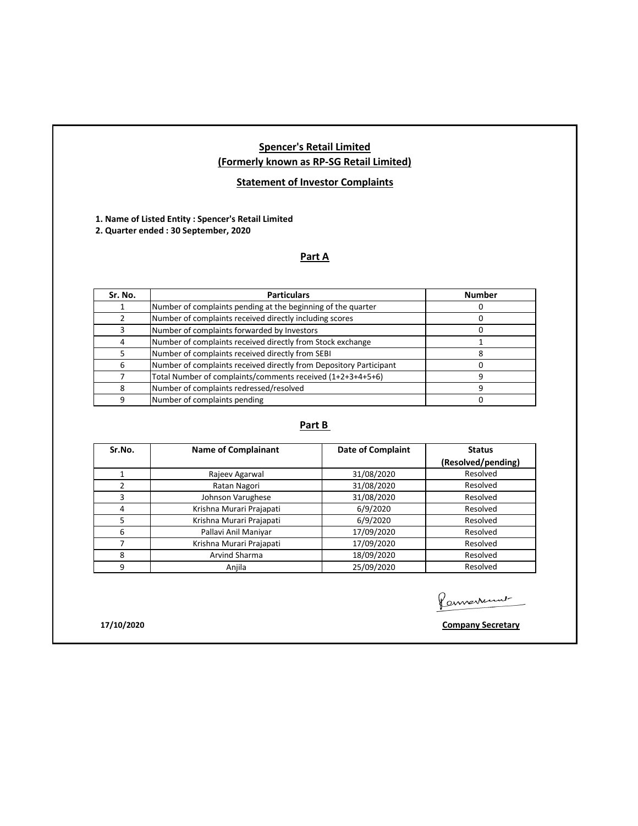# **Spencer's Retail Limited (Formerly known as RP-SG Retail Limited)**

# **Statement of Investor Complaints**

**1. Name of Listed Entity : Spencer's Retail Limited** 

**2. Quarter ended : 30 September, 2020**

# **Part A**

| Sr. No. | <b>Particulars</b>                                                 | <b>Number</b> |
|---------|--------------------------------------------------------------------|---------------|
|         | Number of complaints pending at the beginning of the quarter       |               |
|         | Number of complaints received directly including scores            |               |
|         | Number of complaints forwarded by Investors                        |               |
|         | Number of complaints received directly from Stock exchange         |               |
|         | Number of complaints received directly from SEBI                   |               |
| 6       | Number of complaints received directly from Depository Participant |               |
|         | Total Number of complaints/comments received (1+2+3+4+5+6)         |               |
| 8       | Number of complaints redressed/resolved                            |               |
| q       | Number of complaints pending                                       |               |

# **Part B**

| Sr.No. | <b>Name of Complainant</b> | <b>Date of Complaint</b> | <b>Status</b>      |
|--------|----------------------------|--------------------------|--------------------|
|        |                            |                          | (Resolved/pending) |
|        | Rajeev Agarwal             | 31/08/2020               | Resolved           |
| 2      | Ratan Nagori               | 31/08/2020               | Resolved           |
| 3      | Johnson Varughese          | 31/08/2020               | Resolved           |
| 4      | Krishna Murari Prajapati   | 6/9/2020                 | Resolved           |
| 5      | Krishna Murari Prajapati   | 6/9/2020                 | Resolved           |
| 6      | Pallavi Anil Maniyar       | 17/09/2020               | Resolved           |
|        | Krishna Murari Prajapati   | 17/09/2020               | Resolved           |
| 8      | Arvind Sharma              | 18/09/2020               | Resolved           |
| 9      | Anjila                     | 25/09/2020               | Resolved           |

Connerrent-

**17/10/2020 Company Secretary**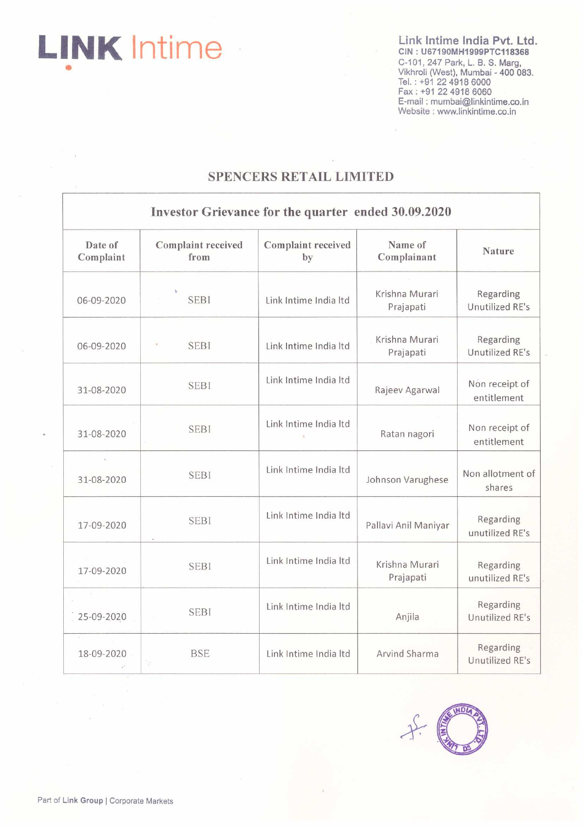**LINK** Intime

Link Intime India Pvt. Ltd. CIN: U67190MH1999PTC118368 C. 101, 247 Park, L. B. S. Marg,<br>C-101, 247 Park, L. B. S. Marg,<br>Vikhroli (West), Mumbai - 400 083.<br>Tel. : +91 22 4918 6000<br>Fax : +91 22 4918 6060<br>E-mail : mumbai@linkintime.co.in Website : www.linkintime.co.in

# **SPENCERS RETAIL LIMITED**

|                                               | Investor Grievance for the quarter ended 30.09.2020 |                          |                             |                               |  |  |  |
|-----------------------------------------------|-----------------------------------------------------|--------------------------|-----------------------------|-------------------------------|--|--|--|
| Date of<br>Complaint                          | Complaint received<br>from                          | Complaint received<br>by | Name of<br>Complainant      | <b>Nature</b>                 |  |  |  |
| 06-09-2020                                    | <b>SEBI</b>                                         | Link Intime India Itd    | Krishna Murari<br>Prajapati | Regarding<br>Unutilized RE's  |  |  |  |
| 06-09-2020                                    | <b>SEBI</b>                                         | Link Intime India Itd    | Krishna Murari<br>Prajapati | Regarding<br>Unutilized RE's  |  |  |  |
| 31-08-2020                                    | <b>SEBI</b>                                         | Link Intime India Itd    | Rajeev Agarwal              | Non receipt of<br>entitlement |  |  |  |
| 31-08-2020                                    | <b>SEBI</b>                                         | Link Intime India Itd    | Ratan nagori                | Non receipt of<br>entitlement |  |  |  |
| 31-08-2020                                    | <b>SEBI</b>                                         | Link Intime India Itd    | Johnson Varughese           | Non allotment of<br>shares    |  |  |  |
| 17-09-2020                                    | <b>SEBI</b>                                         | Link Intime India Itd    | Pallavi Anil Maniyar        | Regarding<br>unutilized RE's  |  |  |  |
| 17-09-2020                                    | <b>SEBI</b>                                         | Link Intime India Itd    | Krishna Murari<br>Prajapati | Regarding<br>unutilized RE's  |  |  |  |
| $\mathbb{R}^+$ . $\mathbb{R}^*$<br>25-09-2020 | <b>SEBI</b>                                         | Link Intime India Itd    | Anjila                      | Regarding<br>Unutilized RE's  |  |  |  |
| 18-09-2020                                    | <b>BSE</b><br>W                                     | Link Intime India Itd    | Arvind Sharma               | Regarding<br>Unutilized RE's  |  |  |  |